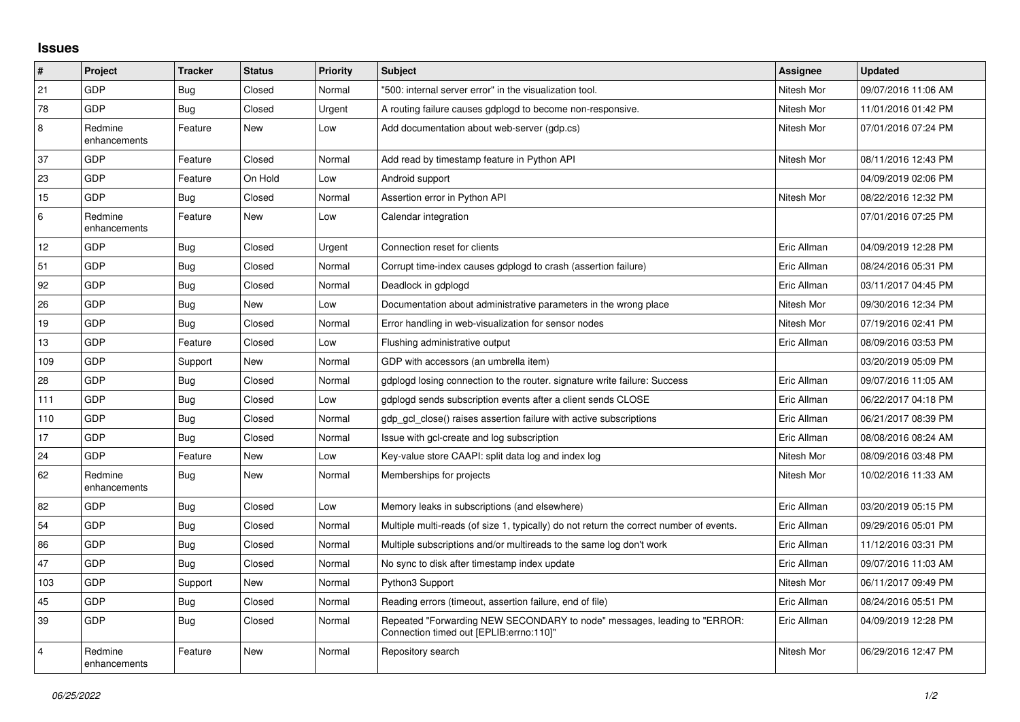## **Issues**

| #              | Project                 | <b>Tracker</b> | <b>Status</b> | <b>Priority</b> | <b>Subject</b>                                                                                                      | <b>Assignee</b> | <b>Updated</b>      |
|----------------|-------------------------|----------------|---------------|-----------------|---------------------------------------------------------------------------------------------------------------------|-----------------|---------------------|
| 21             | GDP                     | Bug            | Closed        | Normal          | "500: internal server error" in the visualization tool.                                                             | Nitesh Mor      | 09/07/2016 11:06 AM |
| 78             | <b>GDP</b>              | Bug            | Closed        | Urgent          | A routing failure causes gdplogd to become non-responsive.                                                          | Nitesh Mor      | 11/01/2016 01:42 PM |
| 8              | Redmine<br>enhancements | Feature        | New           | Low             | Add documentation about web-server (gdp.cs)                                                                         | Nitesh Mor      | 07/01/2016 07:24 PM |
| 37             | GDP                     | Feature        | Closed        | Normal          | Add read by timestamp feature in Python API                                                                         | Nitesh Mor      | 08/11/2016 12:43 PM |
| 23             | <b>GDP</b>              | Feature        | On Hold       | Low             | Android support                                                                                                     |                 | 04/09/2019 02:06 PM |
| 15             | <b>GDP</b>              | Bug            | Closed        | Normal          | Assertion error in Python API                                                                                       | Nitesh Mor      | 08/22/2016 12:32 PM |
| 6              | Redmine<br>enhancements | Feature        | New           | Low             | Calendar integration                                                                                                |                 | 07/01/2016 07:25 PM |
| 12             | <b>GDP</b>              | <b>Bug</b>     | Closed        | Urgent          | Connection reset for clients                                                                                        | Eric Allman     | 04/09/2019 12:28 PM |
| 51             | GDP                     | <b>Bug</b>     | Closed        | Normal          | Corrupt time-index causes gdplogd to crash (assertion failure)                                                      | Eric Allman     | 08/24/2016 05:31 PM |
| 92             | GDP                     | <b>Bug</b>     | Closed        | Normal          | Deadlock in gdplogd                                                                                                 | Eric Allman     | 03/11/2017 04:45 PM |
| 26             | GDP                     | <b>Bug</b>     | New           | Low             | Documentation about administrative parameters in the wrong place                                                    | Nitesh Mor      | 09/30/2016 12:34 PM |
| 19             | <b>GDP</b>              | Bug            | Closed        | Normal          | Error handling in web-visualization for sensor nodes                                                                | Nitesh Mor      | 07/19/2016 02:41 PM |
| 13             | GDP                     | Feature        | Closed        | Low             | Flushing administrative output                                                                                      | Eric Allman     | 08/09/2016 03:53 PM |
| 109            | GDP                     | Support        | New           | Normal          | GDP with accessors (an umbrella item)                                                                               |                 | 03/20/2019 05:09 PM |
| 28             | <b>GDP</b>              | Bug            | Closed        | Normal          | gdplogd losing connection to the router, signature write failure: Success                                           | Eric Allman     | 09/07/2016 11:05 AM |
| 111            | GDP                     | <b>Bug</b>     | Closed        | Low             | adpload sends subscription events after a client sends CLOSE                                                        | Eric Allman     | 06/22/2017 04:18 PM |
| 110            | GDP                     | <b>Bug</b>     | Closed        | Normal          | gdp gcl close() raises assertion failure with active subscriptions                                                  | Eric Allman     | 06/21/2017 08:39 PM |
| 17             | <b>GDP</b>              | <b>Bug</b>     | Closed        | Normal          | Issue with gcl-create and log subscription                                                                          | Eric Allman     | 08/08/2016 08:24 AM |
| 24             | GDP                     | Feature        | <b>New</b>    | Low             | Key-value store CAAPI: split data log and index log                                                                 | Nitesh Mor      | 08/09/2016 03:48 PM |
| 62             | Redmine<br>enhancements | Bug            | New           | Normal          | Memberships for projects                                                                                            | Nitesh Mor      | 10/02/2016 11:33 AM |
| 82             | GDP                     | Bug            | Closed        | Low             | Memory leaks in subscriptions (and elsewhere)                                                                       | Eric Allman     | 03/20/2019 05:15 PM |
| 54             | GDP                     | Bug            | Closed        | Normal          | Multiple multi-reads (of size 1, typically) do not return the correct number of events.                             | Eric Allman     | 09/29/2016 05:01 PM |
| 86             | GDP                     | <b>Bug</b>     | Closed        | Normal          | Multiple subscriptions and/or multireads to the same log don't work                                                 | Eric Allman     | 11/12/2016 03:31 PM |
| 47             | GDP                     | Bug            | Closed        | Normal          | No sync to disk after timestamp index update                                                                        | Eric Allman     | 09/07/2016 11:03 AM |
| 103            | GDP                     | Support        | New           | Normal          | Python3 Support                                                                                                     | Nitesh Mor      | 06/11/2017 09:49 PM |
| 45             | GDP                     | Bug            | Closed        | Normal          | Reading errors (timeout, assertion failure, end of file)                                                            | Eric Allman     | 08/24/2016 05:51 PM |
| 39             | <b>GDP</b>              | Bug            | Closed        | Normal          | Repeated "Forwarding NEW SECONDARY to node" messages, leading to "ERROR:<br>Connection timed out [EPLIB:errno:110]" | Eric Allman     | 04/09/2019 12:28 PM |
| $\overline{4}$ | Redmine<br>enhancements | Feature        | <b>New</b>    | Normal          | Repository search                                                                                                   | Nitesh Mor      | 06/29/2016 12:47 PM |